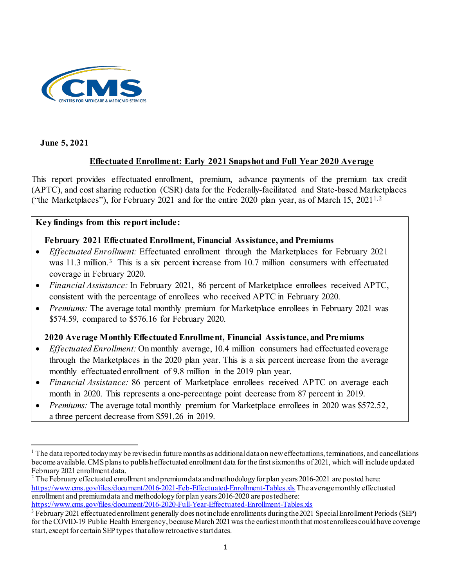

**June 5, 2021**

## **Effectuated Enrollment: Early 2021 Snapshot and Full Year 2020 Average**

This report provides effectuated enrollment, premium, advance payments of the premium tax credit (APTC), and cost sharing reduction (CSR) data for the Federally-facilitated and State-based Marketplaces ("the Marketplaces"), for February 202[1](#page-0-0) and for the entire [2](#page-0-1)020 plan year, as of March 15, 2021<sup>1,2</sup>

### **Key findings from this report include:**

### **February 2021 Effectuated Enrollment, Financial Assistance, and Premiums**

- *Effectuated Enrollment:* Effectuated enrollment through the Marketplaces for February 2021 was 11.[3](#page-0-2) million.<sup>3</sup> This is a six percent increase from 10.7 million consumers with effectuated coverage in February 2020.
- *Financial Assistance:* In February 2021, 86 percent of Marketplace enrollees received APTC, consistent with the percentage of enrollees who received APTC in February 2020.
- *Premiums:* The average total monthly premium for Marketplace enrollees in February 2021 was \$574.59, compared to \$576.16 for February 2020.

### **2020 Average Monthly Effectuated Enrollment, Financial Assistance, and Premiums**

- *Effectuated Enrollment:* On monthly average, 10.4 million consumers had effectuated coverage through the Marketplaces in the 2020 plan year. This is a six percent increase from the average monthly effectuated enrollment of 9.8 million in the 2019 plan year.
- *Financial Assistance:* 86 percent of Marketplace enrollees received APTC on average each month in 2020. This represents a one-percentage point decrease from 87 percent in 2019.
- *Premiums:* The average total monthly premium for Marketplace enrollees in 2020 was \$572.52, a three percent decrease from \$591.26 in 2019.

<span id="page-0-0"></span>l  $1$  The data reported today may be revised in future months as additional data on new effectuations, terminations, and cancellations become available. CMS plans to publish effectuated enrollment data for the first six months of 2021, which will include updated February 2021 enrollment data.

<span id="page-0-1"></span><sup>&</sup>lt;sup>2</sup> The February effectuated enrollment and premium data and methodology for plan years 2016-2021 are posted here: <https://www.cms.gov/files/document/2016-2021-Feb-Effectuated-Enrollment-Tables.xls> The average monthly effectuated enrollment and premium data and methodology for plan years 2016-2020 are posted here: <https://www.cms.gov/files/document/2016-2020-Full-Year-Effectuated-Enrollment-Tables.xls>

<span id="page-0-2"></span><sup>&</sup>lt;sup>3</sup> February 2021 effectuated enrollment generally does not include enrollments during the 2021 Special Enrollment Periods (SEP) for the COVID-19 Public Health Emergency, because March 2021 was the earliest month that most enrollees could have coverage start, except for certain SEP types that allow retroactive start dates.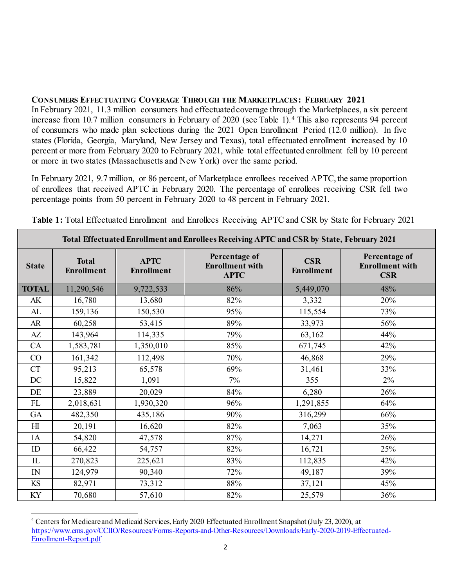#### **CONSUMERS EFFECTUATING COVERAGE THROUGH THE MARKETPLACES: FEBRUARY 2021**

In February 2021, 11.3 million consumers had effectuated coverage through the Marketplaces, a six percent increase from 10.7 million consumers in February of 2020 (see Table 1).[4](#page-1-0) This also represents 94 percent of consumers who made plan selections during the 2021 Open Enrollment Period (12.0 million). In five states (Florida, Georgia, Maryland, New Jersey and Texas), total effectuated enrollment increased by 10 percent or more from February 2020 to February 2021, while total effectuated enrollment fell by 10 percent or more in two states (Massachusetts and New York) over the same period.

In February 2021, 9.7 million, or 86 percent, of Marketplace enrollees received APTC, the same proportion of enrollees that received APTC in February 2020. The percentage of enrollees receiving CSR fell two percentage points from 50 percent in February 2020 to 48 percent in February 2021.

|                | Total Effectuated Enrollment and Enrollees Receiving APTC and CSR by State, February 2021 |                                  |                                                        |                                 |                                                       |  |  |  |  |  |  |  |
|----------------|-------------------------------------------------------------------------------------------|----------------------------------|--------------------------------------------------------|---------------------------------|-------------------------------------------------------|--|--|--|--|--|--|--|
| <b>State</b>   | <b>Total</b><br><b>Enrollment</b>                                                         | <b>APTC</b><br><b>Enrollment</b> | Percentage of<br><b>Enrollment</b> with<br><b>APTC</b> | <b>CSR</b><br><b>Enrollment</b> | Percentage of<br><b>Enrollment</b> with<br><b>CSR</b> |  |  |  |  |  |  |  |
| <b>TOTAL</b>   | 11,290,546                                                                                | 9,722,533                        | 86%                                                    | 5,449,070                       | 48%                                                   |  |  |  |  |  |  |  |
| AK             | 16,780                                                                                    | 13,680                           | 82%                                                    | 3,332                           | 20%                                                   |  |  |  |  |  |  |  |
| AL             | 159,136                                                                                   | 150,530                          | 95%                                                    | 115,554                         | 73%                                                   |  |  |  |  |  |  |  |
| AR             | 60,258                                                                                    | 53,415                           | 89%                                                    | 33,973                          | 56%                                                   |  |  |  |  |  |  |  |
| AZ             | 143,964                                                                                   | 114,335                          | 79%                                                    | 63,162                          | 44%                                                   |  |  |  |  |  |  |  |
| CA             | 1,583,781                                                                                 | 1,350,010                        | 85%                                                    | 671,745                         | 42%                                                   |  |  |  |  |  |  |  |
| CO             | 161,342                                                                                   | 112,498                          | 70%                                                    | 46,868                          | 29%                                                   |  |  |  |  |  |  |  |
| CT             | 95,213                                                                                    | 65,578                           | 69%                                                    | 31,461                          | 33%                                                   |  |  |  |  |  |  |  |
| DC             | 15,822                                                                                    | 1,091                            | 7%                                                     | 355                             | $2\%$                                                 |  |  |  |  |  |  |  |
| DE             | 23,889                                                                                    | 20,029                           | 84%                                                    | 6,280                           | 26%                                                   |  |  |  |  |  |  |  |
| $\mathbf{FL}$  | 2,018,631                                                                                 | 1,930,320                        | 96%                                                    | 1,291,855                       | 64%                                                   |  |  |  |  |  |  |  |
| GA             | 482,350                                                                                   | 435,186                          | 90%                                                    | 316,299                         | 66%                                                   |  |  |  |  |  |  |  |
| H <sub>I</sub> | 20,191                                                                                    | 16,620                           | 82%                                                    | 7,063                           | 35%                                                   |  |  |  |  |  |  |  |
| IA             | 54,820                                                                                    | 47,578                           | 87%                                                    | 14,271                          | 26%                                                   |  |  |  |  |  |  |  |
| ID             | 66,422                                                                                    | 54,757                           | 82%                                                    | 16,721                          | 25%                                                   |  |  |  |  |  |  |  |
| IL             | 270,823                                                                                   | 225,621                          | 83%                                                    | 112,835                         | 42%                                                   |  |  |  |  |  |  |  |
| IN             | 124,979                                                                                   | 90,340                           | 72%                                                    | 49,187                          | 39%                                                   |  |  |  |  |  |  |  |
| KS             | 82,971                                                                                    | 73,312                           | 88%                                                    | 37,121                          | 45%                                                   |  |  |  |  |  |  |  |
| KY             | 70,680                                                                                    | 57,610                           | 82%                                                    | 25,579                          | 36%                                                   |  |  |  |  |  |  |  |

**Table 1:** Total Effectuated Enrollment and Enrollees Receiving APTC and CSR by State for February 2021

<span id="page-1-0"></span>l <sup>4</sup> Centers for Medicare and Medicaid Services, Early 2020 Effectuated Enrollment Snapshot (July 23, 2020), at [https://www.cms.gov/CCIIO/Resources/Forms-Reports-and-Other-Resources/Downloads/Early-2020-2019-Effectuated-](https://www.cms.gov/CCIIO/Resources/Forms-Reports-and-Other-Resources/Downloads/Early-2020-2019-Effectuated-Enrollment-Report.pdf)[Enrollment-Report.pdf](https://www.cms.gov/CCIIO/Resources/Forms-Reports-and-Other-Resources/Downloads/Early-2020-2019-Effectuated-Enrollment-Report.pdf)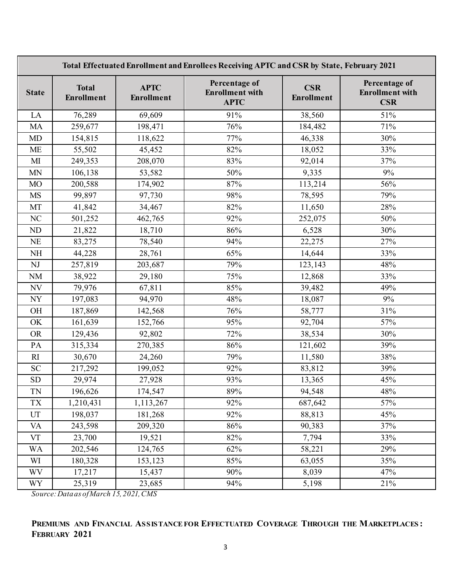|                          | Total Effectuated Enrollment and Enrollees Receiving APTC and CSR by State, February 2021 |                           |                                                        |                          |                                                       |  |  |  |  |  |  |
|--------------------------|-------------------------------------------------------------------------------------------|---------------------------|--------------------------------------------------------|--------------------------|-------------------------------------------------------|--|--|--|--|--|--|
| <b>State</b>             | <b>Total</b><br><b>Enrollment</b>                                                         | <b>APTC</b><br>Enrollment | Percentage of<br><b>Enrollment</b> with<br><b>APTC</b> | <b>CSR</b><br>Enrollment | Percentage of<br><b>Enrollment</b> with<br><b>CSR</b> |  |  |  |  |  |  |
| LA                       | 76,289                                                                                    | 69,609                    | 91%                                                    | 38,560                   | 51%                                                   |  |  |  |  |  |  |
| MA                       | 259,677                                                                                   | 198,471                   | 76%                                                    | 184,482                  | 71%                                                   |  |  |  |  |  |  |
| <b>MD</b>                | 154,815                                                                                   | 118,622                   | 77%                                                    | 46,338                   | 30%                                                   |  |  |  |  |  |  |
| <b>ME</b>                | 55,502                                                                                    | 45,452                    | 82%                                                    | 18,052                   | 33%                                                   |  |  |  |  |  |  |
| M <sub>I</sub>           | 249,353                                                                                   | 208,070                   | 83%                                                    | 92,014                   | 37%                                                   |  |  |  |  |  |  |
| <b>MN</b>                | 106,138                                                                                   | 53,582                    | 50%                                                    | 9,335                    | 9%                                                    |  |  |  |  |  |  |
| M <sub>O</sub>           | 200,588                                                                                   | 174,902                   | 87%                                                    | 113,214                  | 56%                                                   |  |  |  |  |  |  |
| <b>MS</b>                | 99,897                                                                                    | 97,730                    | 98%                                                    | 78,595                   | 79%                                                   |  |  |  |  |  |  |
| MT                       | 41,842                                                                                    | 34,467                    | 82%                                                    | 11,650                   | 28%                                                   |  |  |  |  |  |  |
| NC                       | 501,252                                                                                   | 462,765                   | 92%                                                    | 252,075                  | 50%                                                   |  |  |  |  |  |  |
| ND                       | 21,822                                                                                    | 18,710                    | 86%                                                    | 6,528                    | 30%                                                   |  |  |  |  |  |  |
| <b>NE</b>                | 83,275                                                                                    | 78,540                    | 94%                                                    | 22,275                   | 27%                                                   |  |  |  |  |  |  |
| $\rm NH$                 | 44,228                                                                                    | 28,761                    | 65%                                                    | 14,644                   | 33%                                                   |  |  |  |  |  |  |
| NJ                       | 257,819                                                                                   | 203,687                   | 79%                                                    | 123,143                  | 48%                                                   |  |  |  |  |  |  |
| $\rm{NM}$                | 38,922                                                                                    | 29,180                    | 75%                                                    | 12,868                   | 33%                                                   |  |  |  |  |  |  |
| <b>NV</b>                | 79,976                                                                                    | 67,811                    | 85%                                                    | 39,482                   | 49%                                                   |  |  |  |  |  |  |
| $\ensuremath{\text{NY}}$ | 197,083                                                                                   | 94,970                    | 48%                                                    | 18,087                   | 9%                                                    |  |  |  |  |  |  |
| OH                       | 187,869                                                                                   | 142,568                   | 76%                                                    | 58,777                   | 31%                                                   |  |  |  |  |  |  |
| OK                       | 161,639                                                                                   | 152,766                   | 95%                                                    | 92,704                   | 57%                                                   |  |  |  |  |  |  |
| <b>OR</b>                | 129,436                                                                                   | 92,802                    | 72%                                                    | 38,534                   | 30%                                                   |  |  |  |  |  |  |
| PA                       | 315,334                                                                                   | 270,385                   | 86%                                                    | 121,602                  | 39%                                                   |  |  |  |  |  |  |
| $R_{I}$                  | 30,670                                                                                    | 24,260                    | 79%                                                    | 11,580                   | 38%                                                   |  |  |  |  |  |  |
| <b>SC</b>                | 217,292                                                                                   | 199,052                   | 92%                                                    | 83,812                   | 39%                                                   |  |  |  |  |  |  |
| <b>SD</b>                | 29,974                                                                                    | 27,928                    | 93%                                                    | 13,365                   | 45%                                                   |  |  |  |  |  |  |
| <b>TN</b>                | 196,626                                                                                   | 174,547                   | 89%                                                    | 94,548                   | 48%                                                   |  |  |  |  |  |  |
| TX                       | 1,210,431                                                                                 | 1,113,267                 | 92%                                                    | 687,642                  | 57%                                                   |  |  |  |  |  |  |
| UT                       | 198,037                                                                                   | 181,268                   | 92%                                                    | 88,813                   | 45%                                                   |  |  |  |  |  |  |
| <b>VA</b>                | 243,598                                                                                   | 209,320                   | 86%                                                    | 90,383                   | 37%                                                   |  |  |  |  |  |  |
| VT                       | 23,700                                                                                    | 19,521                    | 82%                                                    | 7,794                    | 33%                                                   |  |  |  |  |  |  |
| <b>WA</b>                | 202,546                                                                                   | 124,765                   | 62%                                                    | 58,221                   | 29%                                                   |  |  |  |  |  |  |
| WI                       | 180,328                                                                                   | 153,123                   | 85%                                                    | 63,055                   | 35%                                                   |  |  |  |  |  |  |
| <b>WV</b>                | 17,217                                                                                    | 15,437                    | 90%                                                    | 8,039                    | 47%                                                   |  |  |  |  |  |  |
| <b>WY</b>                | 25,319                                                                                    | 23,685                    | 94%                                                    | 5,198                    | 21%                                                   |  |  |  |  |  |  |

# **PREMIUMS AND FINANCIAL ASSISTANCE FOR EFFECTUATED COVERAGE THROUGH THE MARKETPLACES : FEBRUARY 2021**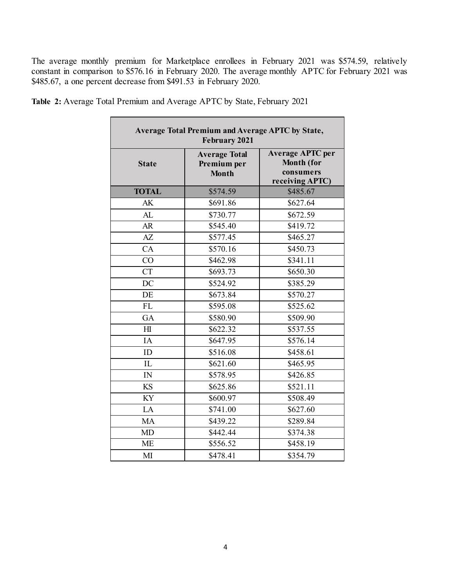The average monthly premium for Marketplace enrollees in February 2021 was \$574.59, relatively constant in comparison to \$576.16 in February 2020. The average monthly APTC for February 2021 was \$485.67, a one percent decrease from \$491.53 in February 2020.

J.

|                 | Average Total Premium and Average APTC by State,<br><b>February 2021</b> |                                                                              |
|-----------------|--------------------------------------------------------------------------|------------------------------------------------------------------------------|
| <b>State</b>    | <b>Average Total</b><br>Premium per<br><b>Month</b>                      | <b>Average APTC per</b><br><b>Month (for</b><br>consumers<br>receiving APTC) |
| <b>TOTAL</b>    | \$574.59                                                                 | \$485.67                                                                     |
| AK              | \$691.86                                                                 | \$627.64                                                                     |
| AL              | \$730.77                                                                 | \$672.59                                                                     |
| <b>AR</b>       | \$545.40                                                                 | \$419.72                                                                     |
| $A\overline{Z}$ | \$577.45                                                                 | \$465.27                                                                     |
| CA              | \$570.16                                                                 | \$450.73                                                                     |
| CO              | \$462.98                                                                 | \$341.11                                                                     |
| <b>CT</b>       | \$693.73                                                                 | \$650.30                                                                     |
| DC              | \$524.92                                                                 | \$385.29                                                                     |
| DE              | \$673.84                                                                 | \$570.27                                                                     |
| FL              | \$595.08                                                                 | \$525.62                                                                     |
| <b>GA</b>       | \$580.90                                                                 | \$509.90                                                                     |
| H1              | \$622.32                                                                 | \$537.55                                                                     |
| IA              | \$647.95                                                                 | \$576.14                                                                     |
| ID              | \$516.08                                                                 | \$458.61                                                                     |
| IL              | \$621.60                                                                 | \$465.95                                                                     |
| IN              | \$578.95                                                                 | \$426.85                                                                     |
| <b>KS</b>       | \$625.86                                                                 | \$521.11                                                                     |
| KY              | \$600.97                                                                 | \$508.49                                                                     |
| LA              | \$741.00                                                                 | \$627.60                                                                     |
| MA              | \$439.22                                                                 | \$289.84                                                                     |
| <b>MD</b>       | \$442.44                                                                 | \$374.38                                                                     |
| <b>ME</b>       | \$556.52                                                                 | \$458.19                                                                     |
| MI              | \$478.41                                                                 | \$354.79                                                                     |

**Table 2:** Average Total Premium and Average APTC by State, February 2021

Ē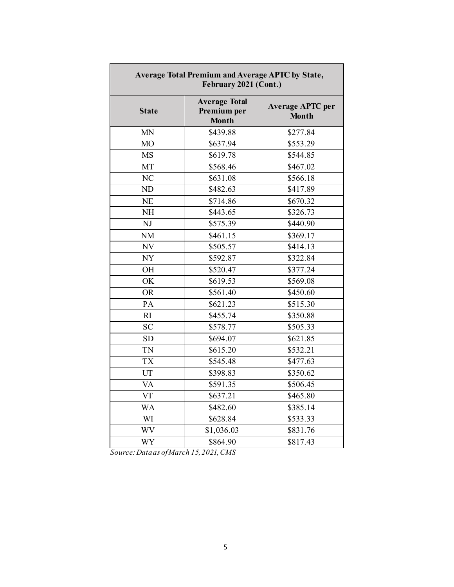|                | <b>Average Total Premium and Average APTC by State,</b><br>February 2021 (Cont.) |                                         |
|----------------|----------------------------------------------------------------------------------|-----------------------------------------|
| <b>State</b>   | <b>Average Total</b><br>Premium per<br><b>Month</b>                              | <b>Average APTC per</b><br><b>Month</b> |
| MN             | \$439.88                                                                         | \$277.84                                |
| <b>MO</b>      | \$637.94                                                                         | \$553.29                                |
| <b>MS</b>      | \$619.78                                                                         | \$544.85                                |
| MT             | \$568.46                                                                         | \$467.02                                |
| N <sub>C</sub> | \$631.08                                                                         | \$566.18                                |
| ND             | \$482.63                                                                         | \$417.89                                |
| <b>NE</b>      | \$714.86                                                                         | \$670.32                                |
| <b>NH</b>      | \$443.65                                                                         | \$326.73                                |
| NJ             | \$575.39                                                                         | \$440.90                                |
| <b>NM</b>      | \$461.15                                                                         | \$369.17                                |
| NV             | \$505.57                                                                         | \$414.13                                |
| <b>NY</b>      | \$592.87                                                                         | \$322.84                                |
| OH             | \$520.47                                                                         | \$377.24                                |
| OK             | \$619.53                                                                         | \$569.08                                |
| <b>OR</b>      | \$561.40                                                                         | \$450.60                                |
| PA             | \$621.23                                                                         | \$515.30                                |
| RI             | \$455.74                                                                         | \$350.88                                |
| <b>SC</b>      | \$578.77                                                                         | \$505.33                                |
| <b>SD</b>      | \$694.07                                                                         | \$621.85                                |
| TN             | \$615.20                                                                         | \$532.21                                |
| <b>TX</b>      | \$545.48                                                                         | \$477.63                                |
| UT             | \$398.83                                                                         | \$350.62                                |
| <b>VA</b>      | \$591.35                                                                         | \$506.45                                |
| VT             | \$637.21                                                                         | \$465.80                                |
| <b>WA</b>      | \$482.60                                                                         | \$385.14                                |
| WI             | \$628.84                                                                         | \$533.33                                |
| <b>WV</b>      | \$1,036.03                                                                       | \$831.76                                |
| <b>WY</b>      | \$864.90                                                                         | \$817.43                                |

Г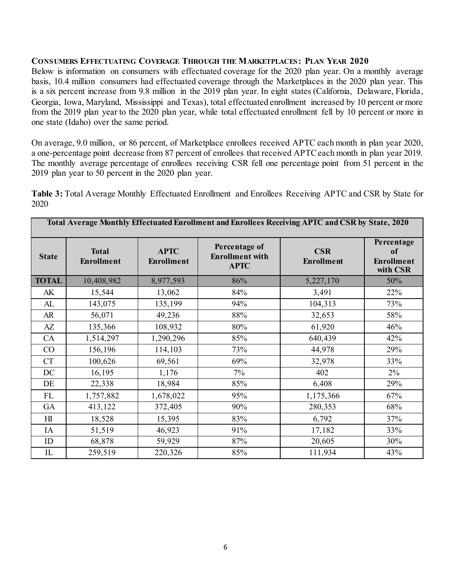#### **CONSUMERS EFFECTUATING COVERAGE THROUGH THE MARKETPLACES: PLAN YEAR 2020**

Below is information on consumers with effectuated coverage for the 2020 plan year. On a monthly average basis, 10.4 million consumers had effectuated coverage through the Marketplaces in the 2020 plan year. This is a six percent increase from 9.8 million in the 2019 plan year. In eight states (California, Delaware, Florida, Georgia, Iowa, Maryland, Mississippi and Texas), total effectuated enrollment increased by 10 percent or more from the 2019 plan year to the 2020 plan year, while total effectuated enrollment fell by 10 percent or more in one state (Idaho) over the same period.

On average, 9.0 million, or 86 percent, of Marketplace enrollees received APTC each month in plan year 2020, a one-percentage point decrease from 87 percent of enrollees that received APTC each month in plan year 2019. The monthly average percentage of enrollees receiving CSR fell one percentage point from 51 percent in the 2019 plan year to 50 percent in the 2020 plan year.

**Table 3:** Total Average Monthly Effectuated Enrollment and Enrollees Receiving APTC and CSR by State for 2020

|                | Total Average Monthly Effectuated Enrollment and Enrollees Receiving APTC and CSR by State, 2020 |                                  |                                                        |                                 |                                                   |  |  |  |  |  |  |  |
|----------------|--------------------------------------------------------------------------------------------------|----------------------------------|--------------------------------------------------------|---------------------------------|---------------------------------------------------|--|--|--|--|--|--|--|
| <b>State</b>   | <b>Total</b><br><b>Enrollment</b>                                                                | <b>APTC</b><br><b>Enrollment</b> | Percentage of<br><b>Enrollment</b> with<br><b>APTC</b> | <b>CSR</b><br><b>Enrollment</b> | Percentage<br>of<br><b>Enrollment</b><br>with CSR |  |  |  |  |  |  |  |
| <b>TOTAL</b>   | 10,408,982                                                                                       | 8,977,593                        | 86%                                                    | 5,227,170                       | 50%                                               |  |  |  |  |  |  |  |
| AK             | 15,544                                                                                           | 13,062                           | 84%                                                    | 3,491                           | 22%                                               |  |  |  |  |  |  |  |
| AL             | 143,075                                                                                          | 135,199                          | 94%                                                    | 104,313                         | 73%                                               |  |  |  |  |  |  |  |
| AR             | 56,071                                                                                           | 49,236                           | 88%                                                    | 32,653                          | 58%                                               |  |  |  |  |  |  |  |
| AZ             | 135,366                                                                                          | 108,932                          | 80%                                                    | 61,920                          | 46%                                               |  |  |  |  |  |  |  |
| CA             | 1,514,297                                                                                        | 1,290,296                        | 85%                                                    | 640,439                         | 42%                                               |  |  |  |  |  |  |  |
| CO             | 156,196                                                                                          | 114,103                          | 73%                                                    | 44,978                          | 29%                                               |  |  |  |  |  |  |  |
| CT             | 100,626                                                                                          | 69,561                           | 69%                                                    | 32,978                          | 33%                                               |  |  |  |  |  |  |  |
| DC             | 16,195                                                                                           | 1,176                            | 7%                                                     | 402                             | $2\%$                                             |  |  |  |  |  |  |  |
| DE             | 22,338                                                                                           | 18,984                           | 85%                                                    | 6,408                           | 29%                                               |  |  |  |  |  |  |  |
| FL             | 1,757,882                                                                                        | 1,678,022                        | 95%                                                    | 1,175,366                       | 67%                                               |  |  |  |  |  |  |  |
| GA             | 413,122                                                                                          | 372,405                          | 90%                                                    | 280,353                         | 68%                                               |  |  |  |  |  |  |  |
| H <sub>I</sub> | 18,528                                                                                           | 15,395                           | 83%                                                    | 6,792                           | 37%                                               |  |  |  |  |  |  |  |
| IA             | 51,519                                                                                           | 46,923                           | 91%                                                    | 17,182                          | 33%                                               |  |  |  |  |  |  |  |
| ID             | 68,878                                                                                           | 59,929                           | 87%                                                    | 20,605                          | 30%                                               |  |  |  |  |  |  |  |
| IL             | 259,519                                                                                          | 220,326                          | 85%                                                    | 111,934                         | 43%                                               |  |  |  |  |  |  |  |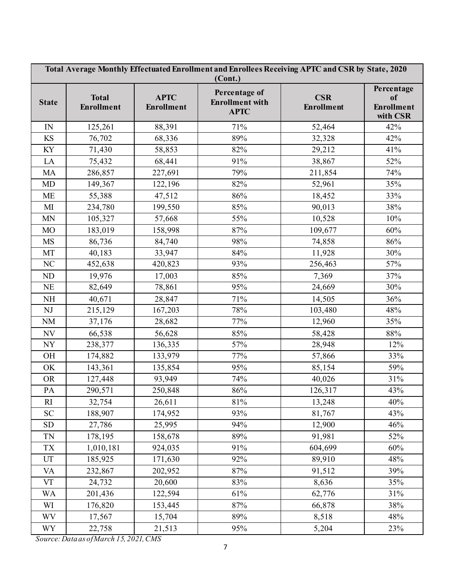|                            | Total Average Monthly Effectuated Enrollment and Enrollees Receiving APTC and CSR by State, 2020<br>(Cont.) |                                  |                                                        |                                 |                                                   |  |  |  |  |  |  |
|----------------------------|-------------------------------------------------------------------------------------------------------------|----------------------------------|--------------------------------------------------------|---------------------------------|---------------------------------------------------|--|--|--|--|--|--|
| <b>State</b>               | <b>Total</b><br><b>Enrollment</b>                                                                           | <b>APTC</b><br><b>Enrollment</b> | Percentage of<br><b>Enrollment with</b><br><b>APTC</b> | <b>CSR</b><br><b>Enrollment</b> | Percentage<br>of<br><b>Enrollment</b><br>with CSR |  |  |  |  |  |  |
| $\ensuremath{\text{IN}}$   | 125,261                                                                                                     | 88,391                           | 71%                                                    | 52,464                          | 42%                                               |  |  |  |  |  |  |
| KS                         | 76,702                                                                                                      | 68,336                           | 89%                                                    | 32,328                          | 42%                                               |  |  |  |  |  |  |
| KY                         | 71,430                                                                                                      | 58,853                           | 82%                                                    | 29,212                          | 41%                                               |  |  |  |  |  |  |
| LA                         | 75,432                                                                                                      | 68,441                           | 91%                                                    | 38,867                          | 52%                                               |  |  |  |  |  |  |
| <b>MA</b>                  | 286,857                                                                                                     | 227,691                          | 79%                                                    | 211,854                         | 74%                                               |  |  |  |  |  |  |
| MD                         | 149,367                                                                                                     | 122,196                          | 82%                                                    | 52,961                          | 35%                                               |  |  |  |  |  |  |
| <b>ME</b>                  | 55,388                                                                                                      | 47,512                           | 86%                                                    | 18,452                          | 33%                                               |  |  |  |  |  |  |
| $\mathbf{M}$               | 234,780                                                                                                     | 199,550                          | 85%                                                    | 90,013                          | 38%                                               |  |  |  |  |  |  |
| $\ensuremath{\text{MN}}$   | 105,327                                                                                                     | 57,668                           | 55%                                                    | 10,528                          | 10%                                               |  |  |  |  |  |  |
| MO                         | 183,019                                                                                                     | 158,998                          | 87%                                                    | 109,677                         | 60%                                               |  |  |  |  |  |  |
| <b>MS</b>                  | 86,736                                                                                                      | 84,740                           | 98%                                                    | 74,858                          | 86%                                               |  |  |  |  |  |  |
| MT                         | 40,183                                                                                                      | 33,947                           | 84%                                                    | 11,928                          | 30%                                               |  |  |  |  |  |  |
| NC                         | 452,638                                                                                                     | 420,823                          | 93%                                                    | 256,463                         | 57%                                               |  |  |  |  |  |  |
| ND                         | 19,976                                                                                                      | 17,003                           | 85%                                                    | 7,369                           | 37%                                               |  |  |  |  |  |  |
| $\rm NE$                   | 82,649                                                                                                      | 78,861                           | 95%                                                    | 24,669                          | 30%                                               |  |  |  |  |  |  |
| $\rm NH$                   | 40,671                                                                                                      | 28,847                           | 71%                                                    | 14,505                          | 36%                                               |  |  |  |  |  |  |
| NJ                         | 215,129                                                                                                     | 167,203                          | 78%                                                    | 103,480                         | 48%                                               |  |  |  |  |  |  |
| $\rm NM$                   | 37,176                                                                                                      | 28,682                           | 77%                                                    | 12,960                          | 35%                                               |  |  |  |  |  |  |
| $\ensuremath{\text{NV}}$   | 66,538                                                                                                      | 56,628                           | 85%                                                    | 58,428                          | 88%                                               |  |  |  |  |  |  |
| <b>NY</b>                  | 238,377                                                                                                     | 136,335                          | 57%                                                    | 28,948                          | 12%                                               |  |  |  |  |  |  |
| $\rm OH$                   | 174,882                                                                                                     | 133,979                          | 77%                                                    | 57,866                          | 33%                                               |  |  |  |  |  |  |
| OK                         | 143,361                                                                                                     | 135,854                          | 95%                                                    | 85,154                          | 59%                                               |  |  |  |  |  |  |
| <b>OR</b>                  | 127,448                                                                                                     | 93,949                           | 74%                                                    | 40,026                          | 31%                                               |  |  |  |  |  |  |
| PA                         | 290,571                                                                                                     | 250,848                          | 86%                                                    | 126,317                         | 43%                                               |  |  |  |  |  |  |
| RI                         | 32,754                                                                                                      | 26,611                           | 81%                                                    | 13,248                          | 40%                                               |  |  |  |  |  |  |
| <b>SC</b>                  | 188,907                                                                                                     | 174,952                          | 93%                                                    | 81,767                          | 43%                                               |  |  |  |  |  |  |
| SD                         | 27,786                                                                                                      | 25,995                           | 94%                                                    | 12,900                          | 46%                                               |  |  |  |  |  |  |
| TN                         | 178,195                                                                                                     | 158,678                          | 89%                                                    | 91,981                          | 52%                                               |  |  |  |  |  |  |
| TX                         | 1,010,181                                                                                                   | 924,035                          | 91%                                                    | 604,699                         | 60%                                               |  |  |  |  |  |  |
| $\ensuremath{\mathrm{UT}}$ | 185,925                                                                                                     | 171,630                          | 92%                                                    | 89,910                          | 48%                                               |  |  |  |  |  |  |
| <b>VA</b>                  | 232,867                                                                                                     | 202,952                          | 87%                                                    | 91,512                          | 39%                                               |  |  |  |  |  |  |
| <b>VT</b>                  | 24,732                                                                                                      | 20,600                           | 83%                                                    | 8,636                           | 35%                                               |  |  |  |  |  |  |
| <b>WA</b>                  | 201,436                                                                                                     | 122,594                          | 61%                                                    | 62,776                          | 31%                                               |  |  |  |  |  |  |
| WI                         | 176,820                                                                                                     | 153,445                          | 87%                                                    | 66,878                          | 38%                                               |  |  |  |  |  |  |
| <b>WV</b>                  | 17,567                                                                                                      | 15,704                           | 89%                                                    | 8,518                           | 48%                                               |  |  |  |  |  |  |
| <b>WY</b>                  | 22,758                                                                                                      | 21,513                           | 95%                                                    | 5,204                           | 23%                                               |  |  |  |  |  |  |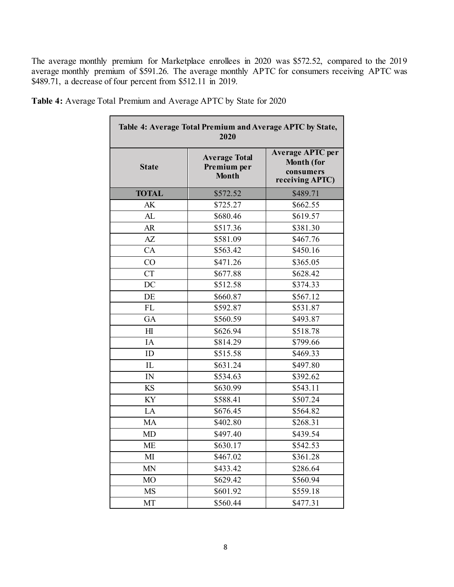The average monthly premium for Marketplace enrollees in 2020 was \$572.52, compared to the 2019 average monthly premium of \$591.26. The average monthly APTC for consumers receiving APTC was \$489.71, a decrease of four percent from \$512.11 in 2019.

|                 | Table 4: Average Total Premium and Average APTC by State,<br>2020 |                                                                              |
|-----------------|-------------------------------------------------------------------|------------------------------------------------------------------------------|
| <b>State</b>    | <b>Average Total</b><br>Premium per<br><b>Month</b>               | <b>Average APTC per</b><br><b>Month (for</b><br>consumers<br>receiving APTC) |
| <b>TOTAL</b>    | \$572.52                                                          | \$489.71                                                                     |
| AK              | \$725.27                                                          | \$662.55                                                                     |
| AL              | \$680.46                                                          | \$619.57                                                                     |
| AR              | \$517.36                                                          | \$381.30                                                                     |
| $A\overline{Z}$ | \$581.09                                                          | \$467.76                                                                     |
| <b>CA</b>       | \$563.42                                                          | \$450.16                                                                     |
| CO              | \$471.26                                                          | \$365.05                                                                     |
| <b>CT</b>       | \$677.88                                                          | \$628.42                                                                     |
| DC              | \$512.58                                                          | \$374.33                                                                     |
| DE              | \$660.87                                                          | \$567.12                                                                     |
| FL              | \$592.87                                                          | \$531.87                                                                     |
| GA              | \$560.59                                                          | \$493.87                                                                     |
| H1              | \$626.94                                                          | \$518.78                                                                     |
| IA              | \$814.29                                                          | \$799.66                                                                     |
| ID              | \$515.58                                                          | \$469.33                                                                     |
| IL              | \$631.24                                                          | \$497.80                                                                     |
| IN              | \$534.63                                                          | \$392.62                                                                     |
| <b>KS</b>       | \$630.99                                                          | \$543.11                                                                     |
| <b>KY</b>       | \$588.41                                                          | \$507.24                                                                     |
| LA              | \$676.45                                                          | \$564.82                                                                     |
| MA              | \$402.80                                                          | \$268.31                                                                     |
| <b>MD</b>       | \$497.40                                                          | \$439.54                                                                     |
| <b>ME</b>       | \$630.17                                                          | \$542.53                                                                     |
| M <sub>I</sub>  | \$467.02                                                          | \$361.28                                                                     |
| <b>MN</b>       | \$433.42                                                          | \$286.64                                                                     |
| M <sub>O</sub>  | \$629.42                                                          | \$560.94                                                                     |
| <b>MS</b>       | \$601.92                                                          | \$559.18                                                                     |
| MT              | \$560.44                                                          | \$477.31                                                                     |

**Table 4:** Average Total Premium and Average APTC by State for 2020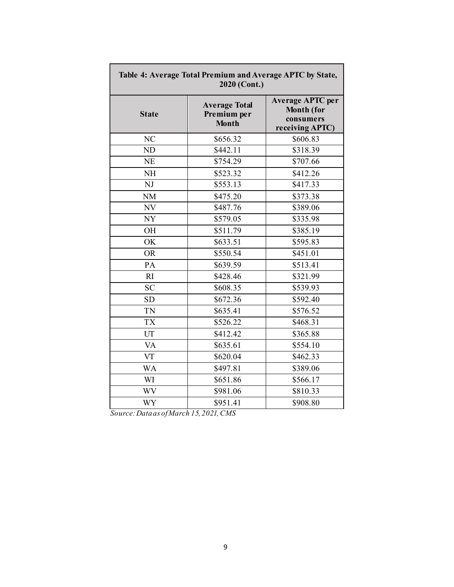| Table 4: Average Total Premium and Average APTC by State,<br>2020 (Cont.) |                                                     |                                                                              |  |  |  |  |  |  |  |
|---------------------------------------------------------------------------|-----------------------------------------------------|------------------------------------------------------------------------------|--|--|--|--|--|--|--|
| <b>State</b>                                                              | <b>Average Total</b><br>Premium per<br><b>Month</b> | <b>Average APTC per</b><br><b>Month (for</b><br>consumers<br>receiving APTC) |  |  |  |  |  |  |  |
| N <sub>C</sub>                                                            | \$656.32                                            | \$606.83                                                                     |  |  |  |  |  |  |  |
| ND                                                                        | \$442.11                                            | \$318.39                                                                     |  |  |  |  |  |  |  |
| <b>NE</b>                                                                 | \$754.29                                            | \$707.66                                                                     |  |  |  |  |  |  |  |
| <b>NH</b>                                                                 | \$523.32                                            | \$412.26                                                                     |  |  |  |  |  |  |  |
| NJ                                                                        | \$553.13                                            | \$417.33                                                                     |  |  |  |  |  |  |  |
| <b>NM</b>                                                                 | \$475.20                                            | \$373.38                                                                     |  |  |  |  |  |  |  |
| NV                                                                        | \$487.76                                            | \$389.06                                                                     |  |  |  |  |  |  |  |
| NY                                                                        | \$579.05                                            | \$335.98                                                                     |  |  |  |  |  |  |  |
| <b>OH</b>                                                                 | \$511.79                                            | \$385.19                                                                     |  |  |  |  |  |  |  |
| OK                                                                        | \$633.51                                            | \$595.83                                                                     |  |  |  |  |  |  |  |
| <b>OR</b>                                                                 | \$550.54                                            | \$451.01                                                                     |  |  |  |  |  |  |  |
| PA                                                                        | \$639.59                                            | \$513.41                                                                     |  |  |  |  |  |  |  |
| R1                                                                        | \$428.46                                            | \$321.99                                                                     |  |  |  |  |  |  |  |
| <b>SC</b>                                                                 | \$608.35                                            | \$539.93                                                                     |  |  |  |  |  |  |  |
| <b>SD</b>                                                                 | \$672.36                                            | \$592.40                                                                     |  |  |  |  |  |  |  |
| TN                                                                        | \$635.41                                            | \$576.52                                                                     |  |  |  |  |  |  |  |
| <b>TX</b>                                                                 | $\overline{$}526.22$                                | \$468.31                                                                     |  |  |  |  |  |  |  |
| UT                                                                        | \$412.42                                            | \$365.88                                                                     |  |  |  |  |  |  |  |
| VA                                                                        | \$635.61                                            | \$554.10                                                                     |  |  |  |  |  |  |  |
| VT                                                                        | \$620.04                                            | \$462.33                                                                     |  |  |  |  |  |  |  |
| <b>WA</b>                                                                 | \$497.81                                            | \$389.06                                                                     |  |  |  |  |  |  |  |
| WI                                                                        | \$651.86                                            | \$566.17                                                                     |  |  |  |  |  |  |  |
| <b>WV</b>                                                                 | \$981.06                                            | \$810.33                                                                     |  |  |  |  |  |  |  |
| WY                                                                        | \$951.41                                            | \$908.80                                                                     |  |  |  |  |  |  |  |

Г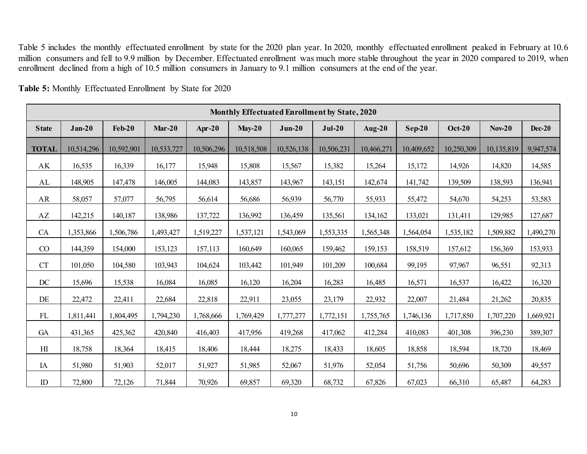Table 5 includes the monthly effectuated enrollment by state for the 2020 plan year. In 2020, monthly effectuated enrollment peaked in February at 10.6 million consumers and fell to 9.9 million by December. Effectuated enrollment was much more stable throughout the year in 2020 compared to 2019, when enrollment declined from a high of 10.5 million consumers in January to 9.1 million consumers at the end of the year.

|              | Monthly Effectuated Enrollment by State, 2020 |               |            |            |            |            |            |            |            |               |            |           |  |
|--------------|-----------------------------------------------|---------------|------------|------------|------------|------------|------------|------------|------------|---------------|------------|-----------|--|
| <b>State</b> | $Jan-20$                                      | <b>Feb-20</b> | $Mar-20$   | $Apr-20$   | $May-20$   | $Jun-20$   | $Jul-20$   | $Aug-20$   | $Sep-20$   | <b>Oct-20</b> | $Nov-20$   | Dec-20    |  |
| <b>TOTAL</b> | 10,514,296                                    | 10,592,901    | 10,533,727 | 10,506,296 | 10,518,508 | 10,526,138 | 10,506,231 | 10,466,271 | 10,409,652 | 10,250,309    | 10,135,819 | 9,947,574 |  |
| AK           | 16,535                                        | 16,339        | 16,177     | 15,948     | 15,808     | 15,567     | 15,382     | 15,264     | 15,172     | 14,926        | 14,820     | 14,585    |  |
| AL           | 148,905                                       | 147,478       | 146,005    | 144,083    | 143,857    | 143,967    | 143,151    | 142,674    | 141,742    | 139,509       | 138,593    | 136,941   |  |
| AR           | 58,057                                        | 57,077        | 56,795     | 56,614     | 56,686     | 56,939     | 56,770     | 55,933     | 55,472     | 54,670        | 54,253     | 53,583    |  |
| AZ           | 142,215                                       | 140,187       | 138,986    | 137,722    | 136,992    | 136,459    | 135,561    | 134,162    | 133,021    | 131,411       | 129,985    | 127,687   |  |
| <b>CA</b>    | 1,353,866                                     | 1,506,786     | 1,493,427  | 1,519,227  | 1,537,121  | 1,543,069  | 1,553,335  | 1,565,348  | 1,564,054  | 1,535,182     | 1,509,882  | 1,490,270 |  |
| CO           | 144,359                                       | 154,000       | 153,123    | 157,113    | 160,649    | 160,065    | 159,462    | 159,153    | 158,519    | 157,612       | 156,369    | 153,933   |  |
| CT           | 101,050                                       | 104,580       | 103,943    | 104,624    | 103,442    | 101,949    | 101,209    | 100,684    | 99,195     | 97,967        | 96,551     | 92,313    |  |
| DC           | 15,696                                        | 15,538        | 16,084     | 16,085     | 16,120     | 16,204     | 16,283     | 16,485     | 16,571     | 16,537        | 16,422     | 16,320    |  |
| DE           | 22,472                                        | 22,411        | 22,684     | 22,818     | 22,911     | 23,055     | 23,179     | 22,932     | 22,007     | 21,484        | 21,262     | 20,835    |  |
| FL           | 1,811,441                                     | 1,804,495     | 1,794,230  | 1,768,666  | 1,769,429  | 1,777,277  | 1,772,151  | 1,755,765  | 1,746,136  | 1,717,850     | 1,707,220  | 1,669,921 |  |
| GA           | 431,365                                       | 425,362       | 420,840    | 416,403    | 417,956    | 419,268    | 417,062    | 412,284    | 410,083    | 401,308       | 396,230    | 389,307   |  |
| $H\!I$       | 18,758                                        | 18,364        | 18,415     | 18,406     | 18,444     | 18,275     | 18,433     | 18,605     | 18,858     | 18,594        | 18,720     | 18,469    |  |
| IA           | 51,980                                        | 51,903        | 52,017     | 51,927     | 51,985     | 52,067     | 51,976     | 52,054     | 51,756     | 50,696        | 50,309     | 49,557    |  |
| ID           | 72,800                                        | 72,126        | 71,844     | 70,926     | 69,857     | 69,320     | 68,732     | 67,826     | 67,023     | 66,310        | 65,487     | 64,283    |  |

**Table 5:** Monthly Effectuated Enrollment by State for 2020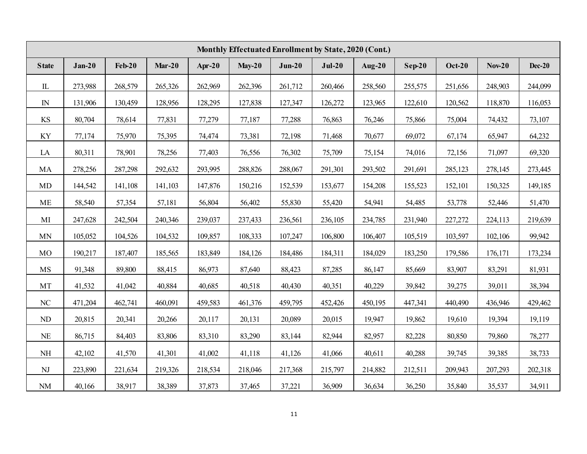|              | Monthly Effectuated Enrollment by State, 2020 (Cont.) |          |          |         |          |          |          |           |          |               |          |               |  |
|--------------|-------------------------------------------------------|----------|----------|---------|----------|----------|----------|-----------|----------|---------------|----------|---------------|--|
| <b>State</b> | $Jan-20$                                              | $Feb-20$ | $Mar-20$ | Apr-20  | $May-20$ | $Jun-20$ | $Jul-20$ | Aug- $20$ | $Sep-20$ | <b>Oct-20</b> | $Nov-20$ | <b>Dec-20</b> |  |
| $\rm IL$     | 273,988                                               | 268,579  | 265,326  | 262,969 | 262,396  | 261,712  | 260,466  | 258,560   | 255,575  | 251,656       | 248,903  | 244,099       |  |
| $\mathbb{N}$ | 131,906                                               | 130,459  | 128,956  | 128,295 | 127,838  | 127,347  | 126,272  | 123,965   | 122,610  | 120,562       | 118,870  | 116,053       |  |
| KS           | 80,704                                                | 78,614   | 77,831   | 77,279  | 77,187   | 77,288   | 76,863   | 76,246    | 75,866   | 75,004        | 74,432   | 73,107        |  |
| KY           | 77,174                                                | 75,970   | 75,395   | 74,474  | 73,381   | 72,198   | 71,468   | 70,677    | 69,072   | 67,174        | 65,947   | 64,232        |  |
| LA           | 80,311                                                | 78,901   | 78,256   | 77,403  | 76,556   | 76,302   | 75,709   | 75,154    | 74,016   | 72,156        | 71,097   | 69,320        |  |
| MA           | 278,256                                               | 287,298  | 292,632  | 293,995 | 288,826  | 288,067  | 291,301  | 293,502   | 291,691  | 285,123       | 278,145  | 273,445       |  |
| <b>MD</b>    | 144,542                                               | 141,108  | 141,103  | 147,876 | 150,216  | 152,539  | 153,677  | 154,208   | 155,523  | 152,101       | 150,325  | 149,185       |  |
| ME           | 58,540                                                | 57,354   | 57,181   | 56,804  | 56,402   | 55,830   | 55,420   | 54,941    | 54,485   | 53,778        | 52,446   | 51,470        |  |
| MI           | 247,628                                               | 242,504  | 240,346  | 239,037 | 237,433  | 236,561  | 236,105  | 234,785   | 231,940  | 227,272       | 224,113  | 219,639       |  |
| MN           | 105,052                                               | 104,526  | 104,532  | 109,857 | 108,333  | 107,247  | 106,800  | 106,407   | 105,519  | 103,597       | 102,106  | 99,942        |  |
| $_{\rm MO}$  | 190,217                                               | 187,407  | 185,565  | 183,849 | 184,126  | 184,486  | 184,311  | 184,029   | 183,250  | 179,586       | 176,171  | 173,234       |  |
| MS           | 91,348                                                | 89,800   | 88,415   | 86,973  | 87,640   | 88,423   | 87,285   | 86,147    | 85,669   | 83,907        | 83,291   | 81,931        |  |
| MT           | 41,532                                                | 41,042   | 40,884   | 40,685  | 40,518   | 40,430   | 40,351   | 40,229    | 39,842   | 39,275        | 39,011   | 38,394        |  |
| NC           | 471,204                                               | 462,741  | 460,091  | 459,583 | 461,376  | 459,795  | 452,426  | 450,195   | 447,341  | 440,490       | 436,946  | 429,462       |  |
| ND           | 20,815                                                | 20,341   | 20,266   | 20,117  | 20,131   | 20,089   | 20,015   | 19,947    | 19,862   | 19,610        | 19,394   | 19,119        |  |
| <b>NE</b>    | 86,715                                                | 84,403   | 83,806   | 83,310  | 83,290   | 83,144   | 82,944   | 82,957    | 82,228   | 80,850        | 79,860   | 78,277        |  |
| <b>NH</b>    | 42,102                                                | 41,570   | 41,301   | 41,002  | 41,118   | 41,126   | 41,066   | 40,611    | 40,288   | 39,745        | 39,385   | 38,733        |  |
| NJ           | 223,890                                               | 221,634  | 219,326  | 218,534 | 218,046  | 217,368  | 215,797  | 214,882   | 212,511  | 209,943       | 207,293  | 202,318       |  |
| $\rm NM$     | 40,166                                                | 38,917   | 38,389   | 37,873  | 37,465   | 37,221   | 36,909   | 36,634    | 36,250   | 35,840        | 35,537   | 34,911        |  |